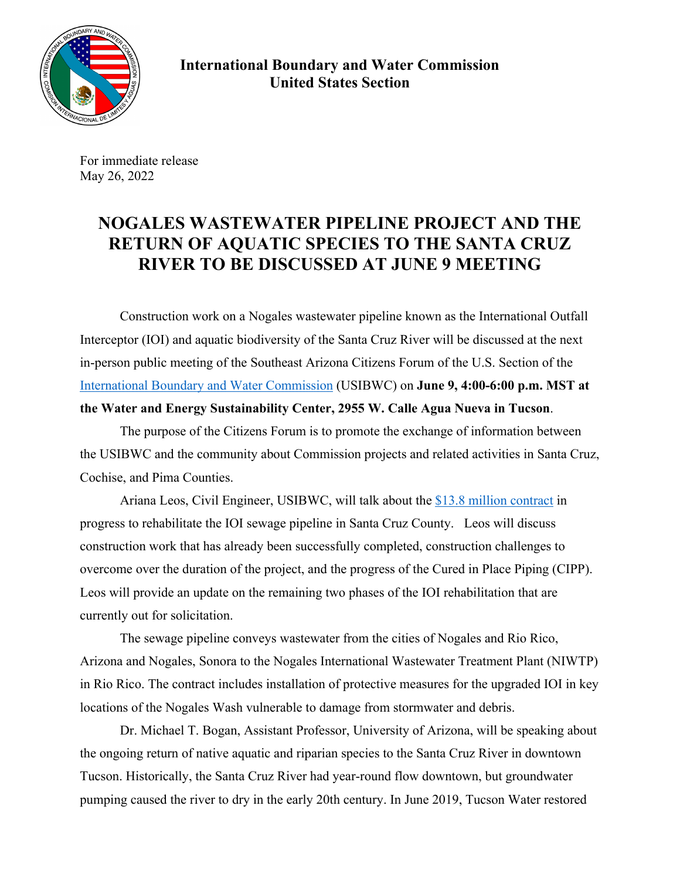

**International Boundary and Water Commission United States Section** 

For immediate release May 26, 2022

## **NOGALES WASTEWATER PIPELINE PROJECT AND THE RETURN OF AQUATIC SPECIES TO THE SANTA CRUZ RIVER TO BE DISCUSSED AT JUNE 9 MEETING**

Construction work on a Nogales wastewater pipeline known as the International Outfall Interceptor (IOI) and aquatic biodiversity of the Santa Cruz River will be discussed at the next in-person public meeting of the Southeast Arizona Citizens Forum of the U.S. Section of the International Boundary and Water Commission (USIBWC) on **June 9, 4:00-6:00 p.m. MST at the Water and Energy Sustainability Center, 2955 W. Calle Agua Nueva in Tucson**.

The purpose of the Citizens Forum is to promote the exchange of information between the USIBWC and the community about Commission projects and related activities in Santa Cruz, Cochise, and Pima Counties.

Ariana Leos, Civil Engineer, USIBWC, will talk about the \$13.8 million contract in progress to rehabilitate the IOI sewage pipeline in Santa Cruz County. Leos will discuss construction work that has already been successfully completed, construction challenges to overcome over the duration of the project, and the progress of the Cured in Place Piping (CIPP). Leos will provide an update on the remaining two phases of the IOI rehabilitation that are currently out for solicitation.

The sewage pipeline conveys wastewater from the cities of Nogales and Rio Rico, Arizona and Nogales, Sonora to the Nogales International Wastewater Treatment Plant (NIWTP) in Rio Rico. The contract includes installation of protective measures for the upgraded IOI in key locations of the Nogales Wash vulnerable to damage from stormwater and debris.

 Dr. Michael T. Bogan, Assistant Professor, University of Arizona, will be speaking about the ongoing return of native aquatic and riparian species to the Santa Cruz River in downtown Tucson. Historically, the Santa Cruz River had year-round flow downtown, but groundwater pumping caused the river to dry in the early 20th century. In June 2019, Tucson Water restored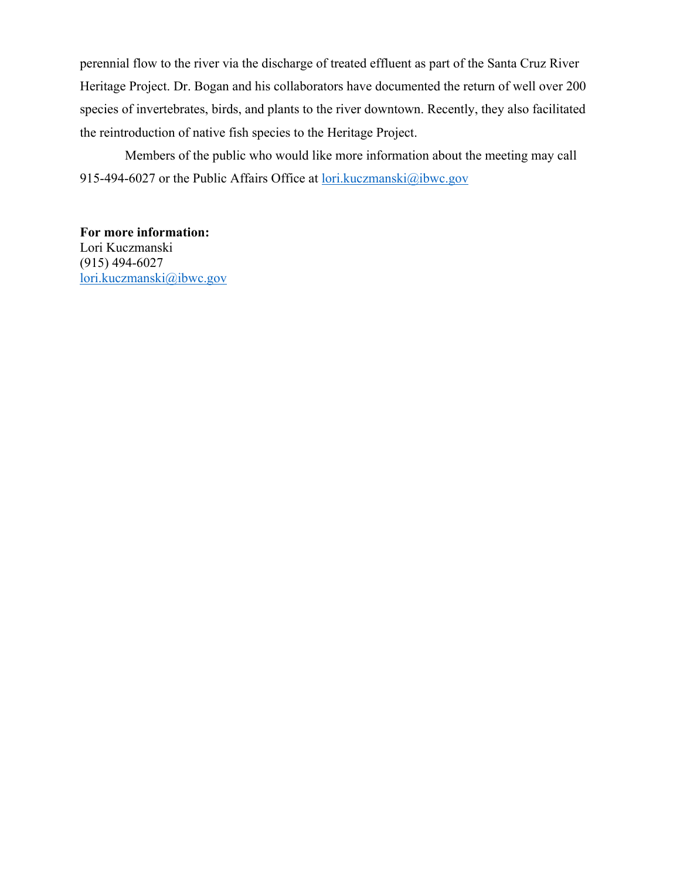perennial flow to the river via the discharge of treated effluent as part of the Santa Cruz River Heritage Project. Dr. Bogan and his collaborators have documented the return of well over 200 species of invertebrates, birds, and plants to the river downtown. Recently, they also facilitated the reintroduction of native fish species to the Heritage Project.

 Members of the public who would like more information about the meeting may call 915-494-6027 or the Public Affairs Office at lori.kuczmanski@ibwc.gov

**For more information:** Lori Kuczmanski (915) 494-6027 lori.kuczmanski@ibwc.gov